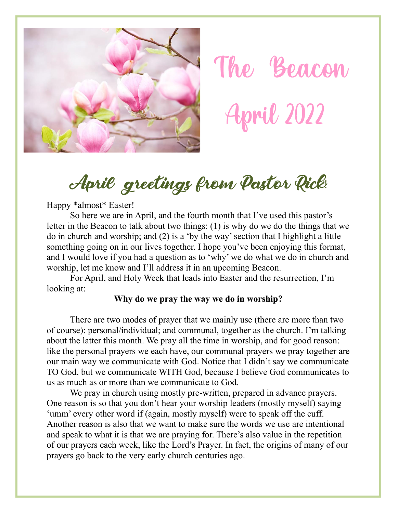



#### April greetings from Pastor Rick!

Happy \*almost\* Easter!

So here we are in April, and the fourth month that I've used this pastor's letter in the Beacon to talk about two things: (1) is why do we do the things that we do in church and worship; and (2) is a 'by the way' section that I highlight a little something going on in our lives together. I hope you've been enjoying this format, and I would love if you had a question as to 'why' we do what we do in church and worship, let me know and I'll address it in an upcoming Beacon.

For April, and Holy Week that leads into Easter and the resurrection, I'm looking at:

#### **Why do we pray the way we do in worship?**

There are two modes of prayer that we mainly use (there are more than two of course): personal/individual; and communal, together as the church. I'm talking about the latter this month. We pray all the time in worship, and for good reason: like the personal prayers we each have, our communal prayers we pray together are our main way we communicate with God. Notice that I didn't say we communicate TO God, but we communicate WITH God, because I believe God communicates to us as much as or more than we communicate to God.

We pray in church using mostly pre-written, prepared in advance prayers. One reason is so that you don't hear your worship leaders (mostly myself) saying 'umm' every other word if (again, mostly myself) were to speak off the cuff. Another reason is also that we want to make sure the words we use are intentional and speak to what it is that we are praying for. There's also value in the repetition of our prayers each week, like the Lord's Prayer. In fact, the origins of many of our prayers go back to the very early church centuries ago.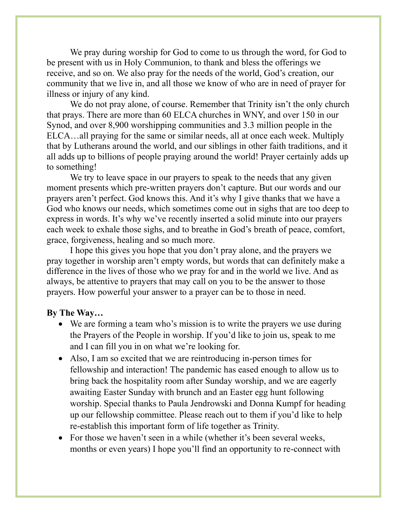We pray during worship for God to come to us through the word, for God to be present with us in Holy Communion, to thank and bless the offerings we receive, and so on. We also pray for the needs of the world, God's creation, our community that we live in, and all those we know of who are in need of prayer for illness or injury of any kind.

We do not pray alone, of course. Remember that Trinity isn't the only church that prays. There are more than 60 ELCA churches in WNY, and over 150 in our Synod, and over 8,900 worshipping communities and 3.3 million people in the ELCA…all praying for the same or similar needs, all at once each week. Multiply that by Lutherans around the world, and our siblings in other faith traditions, and it all adds up to billions of people praying around the world! Prayer certainly adds up to something!

We try to leave space in our prayers to speak to the needs that any given moment presents which pre-written prayers don't capture. But our words and our prayers aren't perfect. God knows this. And it's why I give thanks that we have a God who knows our needs, which sometimes come out in sighs that are too deep to express in words. It's why we've recently inserted a solid minute into our prayers each week to exhale those sighs, and to breathe in God's breath of peace, comfort, grace, forgiveness, healing and so much more.

I hope this gives you hope that you don't pray alone, and the prayers we pray together in worship aren't empty words, but words that can definitely make a difference in the lives of those who we pray for and in the world we live. And as always, be attentive to prayers that may call on you to be the answer to those prayers. How powerful your answer to a prayer can be to those in need.

#### **By The Way…**

- We are forming a team who's mission is to write the prayers we use during the Prayers of the People in worship. If you'd like to join us, speak to me and I can fill you in on what we're looking for.
- Also, I am so excited that we are reintroducing in-person times for fellowship and interaction! The pandemic has eased enough to allow us to bring back the hospitality room after Sunday worship, and we are eagerly awaiting Easter Sunday with brunch and an Easter egg hunt following worship. Special thanks to Paula Jendrowski and Donna Kumpf for heading up our fellowship committee. Please reach out to them if you'd like to help re-establish this important form of life together as Trinity.
- For those we haven't seen in a while (whether it's been several weeks, months or even years) I hope you'll find an opportunity to re-connect with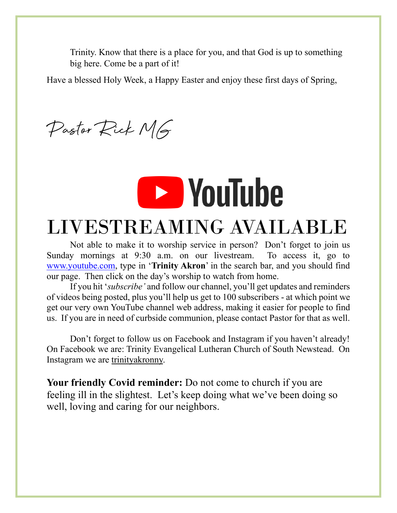Trinity. Know that there is a place for you, and that God is up to something big here. Come be a part of it!

Have a blessed Holy Week, a Happy Easter and enjoy these first days of Spring,

Pastor Rick MG



#### LIVESTREAMING AVAILABLE

Not able to make it to worship service in person? Don't forget to join us Sunday mornings at 9:30 a.m. on our livestream. To access it, go to [www.youtube.com,](http://www.youtube.com/) type in '**Trinity Akron**' in the search bar, and you should find our page. Then click on the day's worship to watch from home.

If you hit '*subscribe'* and follow our channel, you'll get updates and reminders of videos being posted, plus you'll help us get to 100 subscribers - at which point we get our very own YouTube channel web address, making it easier for people to find us. If you are in need of curbside communion, please contact Pastor for that as well.

Don't forget to follow us on Facebook and Instagram if you haven't already! On Facebook we are: Trinity Evangelical Lutheran Church of South Newstead. On Instagram we are trinityakronny.

**Your friendly Covid reminder:** Do not come to church if you are feeling ill in the slightest. Let's keep doing what we've been doing so well, loving and caring for our neighbors.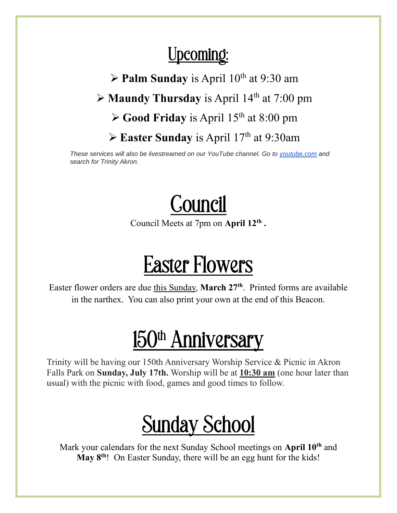#### Upcoming:

 $\triangleright$  **Palm Sunday** is April 10<sup>th</sup> at 9:30 am ➢ **Maundy Thursday** is April 14th at 7:00 pm

➢ **Good Friday** is April 15th at 8:00 pm

➢ **Easter Sunday** is April 17th at 9:30am

*These services will also be livestreamed on our YouTube channel. Go to [youtube.com](http://youtube.com/) and search for Trinity Akron.*



Council Meets at 7pm on **April 12th .**  $\ddot{ }$ 

### Easter Flowers

Easter flower orders are due this Sunday, **March 27th**. Printed forms are available in the narthex. You can also print your own at the end of this Beacon.

### 150<sup>th</sup> Anniversary

Trinity will be having our 150th Anniversary Worship Service & Picnic in Akron Falls Park on **Sunday, July 17th.** Worship will be at **10:30 am** (one hour later than usual) with the picnic with food, games and good times to follow.

### Sunday School

Mark your calendars for the next Sunday School meetings on **April 10th** and **May 8th**! On Easter Sunday, there will be an egg hunt for the kids!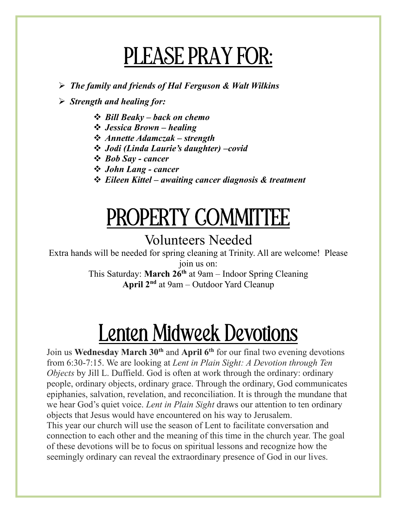### PLEASE PRAY FOR:

➢ *The family and friends of Hal Ferguson & Walt Wilkins*

➢ *Strength and healing for:*

- ❖ *Bill Beaky – back on chemo*
- ❖ *Jessica Brown – healing*
- ❖ *Annette Adamczak – strength*
- ❖ *Jodi (Linda Laurie's daughter) –covid*
- ❖ *Bob Say - cancer*
- ❖ *John Lang - cancer*
- ❖ *Eileen Kittel – awaiting cancer diagnosis & treatment*

## PROPERTY COMMITTEE

#### Volunteers Needed

Extra hands will be needed for spring cleaning at Trinity. All are welcome! Please join us on:

This Saturday: **March 26th** at 9am – Indoor Spring Cleaning **April 2nd** at 9am – Outdoor Yard Cleanup

## Lenten Midweek Devotions

Join us **Wednesday March 30th** and **April 6th** for our final two evening devotions from 6:30-7:15. We are looking at *Lent in Plain Sight: A Devotion through Ten Objects* by Jill L. Duffield. God is often at work through the ordinary: ordinary people, ordinary objects, ordinary grace. Through the ordinary, God communicates epiphanies, salvation, revelation, and reconciliation. It is through the mundane that we hear God's quiet voice. *Lent in Plain Sight* draws our attention to ten ordinary objects that Jesus would have encountered on his way to Jerusalem. This year our church will use the season of Lent to facilitate conversation and connection to each other and the meaning of this time in the church year. The goal of these devotions will be to focus on spiritual lessons and recognize how the seemingly ordinary can reveal the extraordinary presence of God in our lives.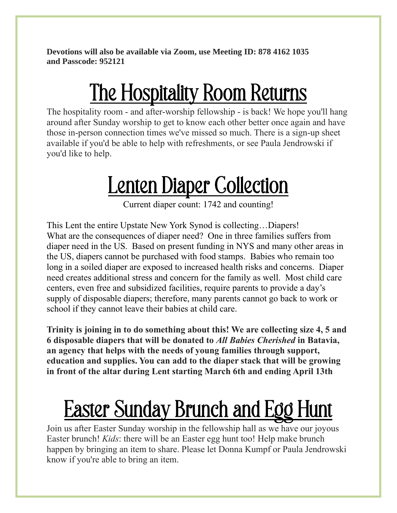**Devotions will also be available via Zoom, use Meeting ID: 878 4162 1035 and Passcode: 952121**

## The Hospitality Room Returns

The hospitality room - and after-worship fellowship - is back! We hope you'll hang around after Sunday worship to get to know each other better once again and have those in-person connection times we've missed so much. There is a sign-up sheet available if you'd be able to help with refreshments, or see Paula Jendrowski if you'd like to help.

## **Lenten Diaper Collection**

Current diaper count: 1742 and counting!

This Lent the entire Upstate New York Synod is collecting…Diapers! What are the consequences of diaper need? One in three families suffers from diaper need in the US. Based on present funding in NYS and many other areas in the US, diapers cannot be purchased with food stamps. Babies who remain too long in a soiled diaper are exposed to increased health risks and concerns. Diaper need creates additional stress and concern for the family as well. Most child care centers, even free and subsidized facilities, require parents to provide a day's supply of disposable diapers; therefore, many parents cannot go back to work or school if they cannot leave their babies at child care.

**Trinity is joining in to do something about this! We are collecting size 4, 5 and 6 disposable diapers that will be donated to** *All Babies Cherished* **in Batavia, an agency that helps with the needs of young families through support, education and supplies. You can add to the diaper stack that will be growing in front of the altar during Lent starting March 6th and ending April 13th**

# Easter Sunday Brunch and Egg Hunt

Join us after Easter Sunday worship in the fellowship hall as we have our joyous Easter brunch! *Kids*: there will be an Easter egg hunt too! Help make brunch happen by bringing an item to share. Please let Donna Kumpf or Paula Jendrowski know if you're able to bring an item.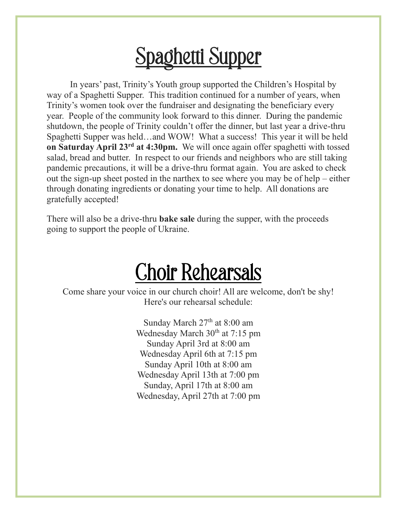### Spaghetti Supper

In years' past, Trinity's Youth group supported the Children's Hospital by way of a Spaghetti Supper. This tradition continued for a number of years, when Trinity's women took over the fundraiser and designating the beneficiary every year. People of the community look forward to this dinner. During the pandemic shutdown, the people of Trinity couldn't offer the dinner, but last year a drive-thru Spaghetti Supper was held…and WOW! What a success! This year it will be held **on Saturday April 23rd at 4:30pm.** We will once again offer spaghetti with tossed salad, bread and butter. In respect to our friends and neighbors who are still taking pandemic precautions, it will be a drive-thru format again. You are asked to check out the sign-up sheet posted in the narthex to see where you may be of help – either through donating ingredients or donating your time to help. All donations are gratefully accepted!

There will also be a drive-thru **bake sale** during the supper, with the proceeds going to support the people of Ukraine.

#### Choir Rehearsals

Come share your voice in our church choir! All are welcome, don't be shy! Here's our rehearsal schedule:

> Sunday March 27<sup>th</sup> at 8:00 am Wednesday March 30<sup>th</sup> at 7:15 pm Sunday April 3rd at 8:00 am Wednesday April 6th at 7:15 pm Sunday April 10th at 8:00 am Wednesday April 13th at 7:00 pm Sunday, April 17th at 8:00 am Wednesday, April 27th at 7:00 pm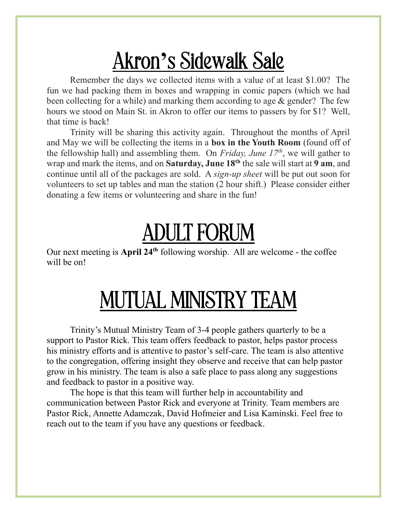### Akron**'**s Sidewalk Sale

Remember the days we collected items with a value of at least \$1.00? The fun we had packing them in boxes and wrapping in comic papers (which we had been collecting for a while) and marking them according to age & gender? The few hours we stood on Main St. in Akron to offer our items to passers by for \$1? Well, that time is back!

Trinity will be sharing this activity again. Throughout the months of April and May we will be collecting the items in a **box in the Youth Room** (found off of the fellowship hall) and assembling them. On *Friday, June 17th*, we will gather to wrap and mark the items, and on **Saturday, June 18th** the sale will start at **9 am**, and continue until all of the packages are sold. A *sign-up sheet* will be put out soon for volunteers to set up tables and man the station (2 hour shift.) Please consider either donating a few items or volunteering and share in the fun!

### ADULT FORUM

Our next meeting is **April 24th** following worship. All are welcome - the coffee will be on!

### MUTUAL MINISTRY TEAM

Trinity's Mutual Ministry Team of 3-4 people gathers quarterly to be a support to Pastor Rick. This team offers feedback to pastor, helps pastor process his ministry efforts and is attentive to pastor's self-care. The team is also attentive to the congregation, offering insight they observe and receive that can help pastor grow in his ministry. The team is also a safe place to pass along any suggestions and feedback to pastor in a positive way.

The hope is that this team will further help in accountability and communication between Pastor Rick and everyone at Trinity. Team members are Pastor Rick, Annette Adamczak, David Hofmeier and Lisa Kaminski. Feel free to reach out to the team if you have any questions or feedback.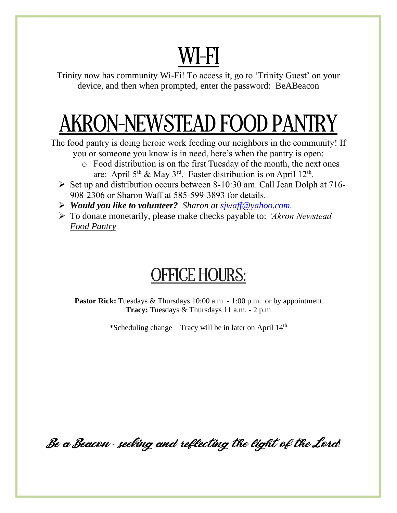# WI-FI

Trinity now has community Wi-Fi! To access it, go to 'Trinity Guest' on your device, and then when prompted, enter the password: BeABeacon

# AKRON-NEWSTEAD FOOD PANTRY

The food pantry is doing heroic work feeding our neighbors in the community! If you or someone you know is in need, here's when the pantry is open:

- o Food distribution is on the first Tuesday of the month, the next ones are: April  $5<sup>th</sup>$  & May  $3<sup>rd</sup>$ . Easter distribution is on April 12<sup>th</sup>.
- $\triangleright$  Set up and distribution occurs between 8-10:30 am. Call Jean Dolph at 716-908-2306 or Sharon Waff at 585-599-3893 for details.
- ➢ *Would you like to volunteer? Sharon at [sjwaff@yahoo.com.](mailto:sjwaff@yahoo.com)*
- ➢ To donate monetarily, please make checks payable to: *'Akron Newstead Food Pantry*

#### OFFICE HOURS:

**Pastor Rick:** Tuesdays & Thursdays 10:00 a.m. - 1:00 p.m. or by appointment **Tracy:** Tuesdays & Thursdays 11 a.m. - 2 p.m

\*Scheduling change – Tracy will be in later on April  $14<sup>th</sup>$ 

Be a Beacon *-* seeking and reflecting the light of the Lord*!*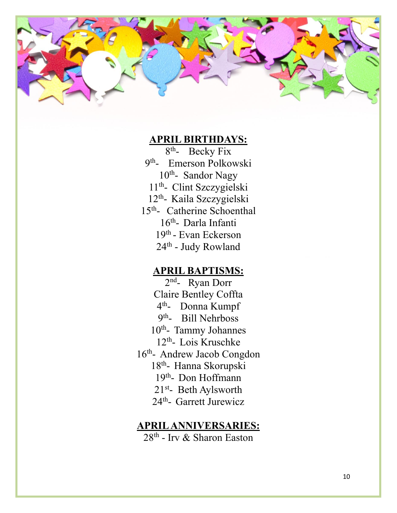

#### **APRIL BIRTHDAYS:**

8<sup>th</sup>- Becky Fix 9<sup>th</sup>- Emerson Polkowski 10<sup>th</sup>-Sandor Nagy 11th - Clint Szczygielski 12<sup>th</sup>- Kaila Szczygielski 15<sup>th</sup>- Catherine Schoenthal 16<sup>th</sup>- Darla Infanti 19<sup>th</sup> - Evan Eckerson 24<sup>th</sup> - Judy Rowland

#### **APRIL BAPTISMS:**

2<sup>nd</sup>- Ryan Dorr Claire Bentley Coffta 4<sup>th</sup>- Donna Kumpf 9<sup>th</sup>- Bill Nehrboss 10<sup>th</sup>- Tammy Johannes 12<sup>th</sup>- Lois Kruschke 16<sup>th</sup>- Andrew Jacob Congdon 18<sup>th</sup>- Hanna Skorupski 19<sup>th</sup>- Don Hoffmann 21<sup>st</sup>- Beth Aylsworth 24<sup>th</sup>- Garrett Jurewicz

#### **APRIL ANNIVERSARIES:**

28th - Irv & Sharon Easton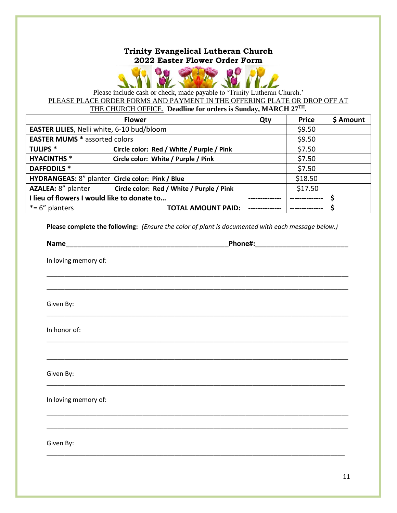#### **Trinity Evangelical Lutheran Church 2022 Easter Flower Order Form**



Please include cash or check, made payable to 'Trinity Lutheran Church.' PLEASE PLACE ORDER FORMS AND PAYMENT IN THE OFFERING PLATE OR DROP OFF AT THE CHURCH OFFICE. **Deadline for orders is Sunday, MARCH 27TH.**

|                                                  | <b>Flower</b>                             | Qty | <b>Price</b> | \$ Amount |
|--------------------------------------------------|-------------------------------------------|-----|--------------|-----------|
| EASTER LILIES, Nelli white, 6-10 bud/bloom       |                                           |     | \$9.50       |           |
| <b>EASTER MUMS * assorted colors</b>             |                                           |     | \$9.50       |           |
| <b>TULIPS*</b>                                   | Circle color: Red / White / Purple / Pink |     | \$7.50       |           |
| <b>HYACINTHS*</b>                                | Circle color: White / Purple / Pink       |     | \$7.50       |           |
| <b>DAFFODILS*</b>                                |                                           |     | \$7.50       |           |
| HYDRANGEAS: 8" planter Circle color: Pink / Blue |                                           |     | \$18.50      |           |
| AZALEA: 8" planter                               | Circle color: Red / White / Purple / Pink |     | \$17.50      |           |
| I lieu of flowers I would like to donate to      |                                           |     |              |           |
| $*= 6"$ planters                                 | <b>TOTAL AMOUNT PAID:</b>                 |     |              |           |

**Please complete the following:** *(Ensure the color of plant is documented with each message below.)*

\_\_\_\_\_\_\_\_\_\_\_\_\_\_\_\_\_\_\_\_\_\_\_\_\_\_\_\_\_\_\_\_\_\_\_\_\_\_\_\_\_\_\_\_\_\_\_\_\_\_\_\_\_\_\_\_\_\_\_\_\_\_\_\_\_\_\_\_\_\_\_\_\_\_\_\_\_\_\_\_\_\_\_\_\_

\_\_\_\_\_\_\_\_\_\_\_\_\_\_\_\_\_\_\_\_\_\_\_\_\_\_\_\_\_\_\_\_\_\_\_\_\_\_\_\_\_\_\_\_\_\_\_\_\_\_\_\_\_\_\_\_\_\_\_\_\_\_\_\_\_\_\_\_\_\_\_\_\_\_\_\_\_\_\_\_\_\_\_\_\_

\_\_\_\_\_\_\_\_\_\_\_\_\_\_\_\_\_\_\_\_\_\_\_\_\_\_\_\_\_\_\_\_\_\_\_\_\_\_\_\_\_\_\_\_\_\_\_\_\_\_\_\_\_\_\_\_\_\_\_\_\_\_\_\_\_\_\_\_\_\_\_\_\_\_\_\_\_\_\_\_\_\_\_\_\_

\_\_\_\_\_\_\_\_\_\_\_\_\_\_\_\_\_\_\_\_\_\_\_\_\_\_\_\_\_\_\_\_\_\_\_\_\_\_\_\_\_\_\_\_\_\_\_\_\_\_\_\_\_\_\_\_\_\_\_\_\_\_\_\_\_\_\_\_\_\_\_\_\_\_\_\_\_\_\_\_\_\_\_\_\_

\_\_\_\_\_\_\_\_\_\_\_\_\_\_\_\_\_\_\_\_\_\_\_\_\_\_\_\_\_\_\_\_\_\_\_\_\_\_\_\_\_\_\_\_\_\_\_\_\_\_\_\_\_\_\_\_\_\_\_\_\_\_\_\_\_\_\_\_\_\_\_\_\_\_\_\_\_\_\_\_\_\_\_\_\_

\_\_\_\_\_\_\_\_\_\_\_\_\_\_\_\_\_\_\_\_\_\_\_\_\_\_\_\_\_\_\_\_\_\_\_\_\_\_\_\_\_\_\_\_\_\_\_\_\_\_\_\_\_\_\_\_\_\_\_\_\_\_\_\_\_\_\_\_\_\_\_\_\_\_\_\_\_\_\_\_\_\_\_\_

\_\_\_\_\_\_\_\_\_\_\_\_\_\_\_\_\_\_\_\_\_\_\_\_\_\_\_\_\_\_\_\_\_\_\_\_\_\_\_\_\_\_\_\_\_\_\_\_\_\_\_\_\_\_\_\_\_\_\_\_\_\_\_\_\_\_\_\_\_\_\_\_\_\_\_\_\_\_\_\_\_\_\_\_\_

\_\_\_\_\_\_\_\_\_\_\_\_\_\_\_\_\_\_\_\_\_\_\_\_\_\_\_\_\_\_\_\_\_\_\_\_\_\_\_\_\_\_\_\_\_\_\_\_\_\_\_\_\_\_\_\_\_\_\_\_\_\_\_\_\_\_\_\_\_\_\_\_\_\_\_\_\_\_\_\_\_\_\_\_\_

\_\_\_\_\_\_\_\_\_\_\_\_\_\_\_\_\_\_\_\_\_\_\_\_\_\_\_\_\_\_\_\_\_\_\_\_\_\_\_\_\_\_\_\_\_\_\_\_\_\_\_\_\_\_\_\_\_\_\_\_\_\_\_\_\_\_\_\_\_\_\_\_\_\_\_\_\_\_\_\_\_\_\_\_

**Name\_\_\_\_\_\_\_\_\_\_\_\_\_\_\_\_\_\_\_\_\_\_\_\_\_\_\_\_\_\_\_\_\_\_\_\_\_\_\_\_\_\_Phone#:\_\_\_\_\_\_\_\_\_\_\_\_\_\_\_\_\_\_\_\_\_\_\_\_**

In loving memory of:

Given By:

In honor of:

Given By:

In loving memory of:

Given By: